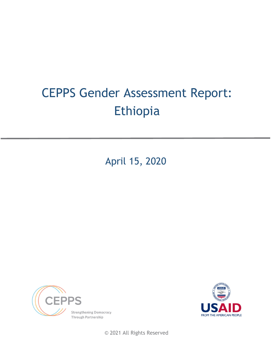# CEPPS Gender Assessment Report: Ethiopia

April 15, 2020





© 2021 All Rights Reserved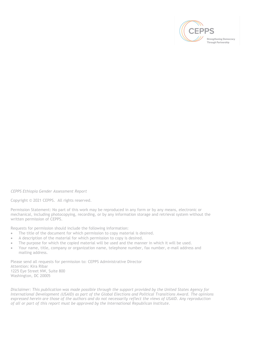

*CEPPS Ethiopia Gender Assessment Report*

Copyright © 2021 CEPPS. All rights reserved.

Permission Statement: No part of this work may be reproduced in any form or by any means, electronic or mechanical, including photocopying, recording, or by any information storage and retrieval system without the written permission of CEPPS.

Requests for permission should include the following information:

- The title of the document for which permission to copy material is desired.
- A description of the material for which permission to copy is desired.
- The purpose for which the copied material will be used and the manner in which it will be used.
- Your name, title, company or organization name, telephone number, fax number, e-mail address and mailing address.

Please send all requests for permission to: CEPPS Administrative Director Attention: Kira Ribar 1225 Eye Street NW, Suite 800 Washington, DC 20005

*Disclaimer: This publication was made possible through the support provided by the United States Agency for International Development (USAID) as part of the Global Elections and Political Transitions Award. The opinions expressed herein are those of the authors and do not necessarily reflect the views of USAID. Any reproduction of all or part of this report must be approved by the International Republican Institute.*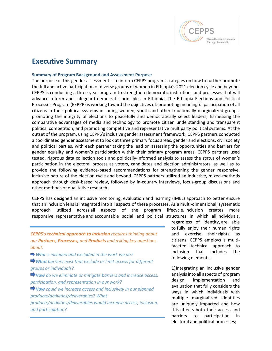

# **Executive Summary**

#### **Summary of Program Background and Assessment Purpose**

The purpose of this gender assessment is to inform CEPPS program strategies on how to further promote the full and active participation of diverse groups of women in Ethiopia's 2021 election cycle and beyond. CEPPS is conducting a three-year program to strengthen democratic institutions and processes that will advance reform and safeguard democratic principles in Ethiopia. The Ethiopia Elections and Political Processes Program (EEPPP) is working toward the objectives of: promoting meaningful participation of all citizens in their political systems including women, youth and other traditionally marginalized groups; promoting the integrity of elections to peacefully and democratically select leaders; harnessing the comparative advantages of media and technology to promote citizen understanding and transparent political competition; and promoting competitive and representative multiparty political systems. At the outset of the program, using CEPPS's inclusive gender assessment framework, CEPPS partners conducted a coordinated gender assessment to look at three primary focus areas, gender and elections, civil society and political parties, with each partner taking the lead on assessing the opportunities and barriers for gender equality and women's participation within their primary program areas. CEPPS partners used tested, rigorous data collection tools and politically-informed analysis to assess the status of women's participation in the electoral process as voters, candidates and election administrators, as well as to provide the following evidence-based recommendations for strengthening the gender responsive, inclusive nature of the election cycle and beyond. CEPPS partners utilized an inductive, mixed-methods approach through desk-based review, followed by in-country interviews, focus-group discussions and other methods of qualitative research.

CEPPS has designed an inclusive monitoring, evaluation and learning (IMEL) approach to better ensure that an inclusion lens is integrated into all aspects of these processes. As a multi-dimensional, systematic approach utilized across all aspects of the program lifecycle, inclusion creates more responsive, representative and accountable social and political structures in which all individuals,

*CEPPS's technical approach to inclusion requires thinking about our Partners, Processes, and Products and asking key questions about:*

*Who is included and excluded in the work we do?*

*What barriers exist that exclude or limit access for different groups or individuals?*

*How do we eliminate or mitigate barriers and increase access, participation, and representation in our work?* 

*How could we increase access and inclusivity in our planned products/activities/deliverables? What* 

*products/activities/deliverables would increase access, inclusion, and participation?*

regardless of identity, are able to fully enjoy their human rights and exercise their rights as citizens. CEPPS employs a multifaceted technical approach to inclusion that includes the following elements:

1)Integrating an inclusive gender analysis into all aspects of program design, implementation and evaluation that fully considers the ways in which individuals with multiple marginalized identities are uniquely impacted and how this affects both their access and barriers to participation in electoral and political processes;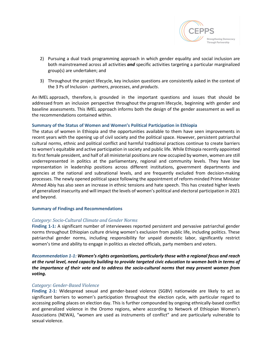

- 2) Pursuing a dual track programming approach in which gender equality and social inclusion are both mainstreamed across all activities *and* specific activities targeting a particular marginalized group(s) are undertaken; and
- 3) Throughout the project lifecycle, key inclusion questions are consistently asked in the context of the 3 Ps of Inclusion - *partners*, *processes*, and *products*.

An IMEL approach, therefore, is grounded in the important questions and issues that should be addressed from an inclusion perspective throughout the program lifecycle, beginning with gender and baseline assessments. This IMEL approach informs both the design of the gender assessment as well as the recommendations contained within.

#### **Summary of the Status of Women and Women's Political Participation in Ethiopia**

The status of women in Ethiopia and the opportunities available to them have seen improvements in recent years with the opening up of civil society and the political space. However, persistent patriarchal cultural norms, ethnic and political conflict and harmful traditional practices continue to create barriers to women's equitable and active participation in society and public life. While Ethiopia recently appointed its first female president, and half of all ministerial positions are now occupied by women, women are still underrepresented in politics at the parliamentary, regional and community levels. They have low representation in leadership positions across different institutions, government departments and agencies at the national and subnational levels, and are frequently excluded from decision-making processes. The newly opened political space following the appointment of reform-minded Prime Minister Ahmed Abiy has also seen an increase in ethnic tensions and hate speech. This has created higher levels of generalized insecurity and will impact the levels of women's political and electoral participation in 2021 and beyond.

#### **Summary of Findings and Recommendations**

# *Category: Socio-Cultural Climate and Gender Norms*

**Finding 1-1:** A significant number of interviewees reported persistent and pervasive patriarchal gender norms throughout Ethiopian culture driving women's exclusion from public life, including politics. These patriarchal gender norms, including responsibility for unpaid domestic labor, significantly restrict women's time and ability to engage in politics as elected officials, party members and voters.

# *Recommendation 1-1: Women's rights organizations, particularly those with a regional focus and reach at the rural level, need capacity building to provide targeted civic education to women both in terms of the importance of their vote and to address the socio-cultural norms that may prevent women from voting.*

# *Category: Gender-Based Violence*

**Finding 2-1:** Widespread sexual and gender-based violence (SGBV) nationwide are likely to act as significant barriers to women's participation throughout the election cycle, with particular regard to accessing polling places on election day. This is further compounded by ongoing ethnically-based conflict and generalized violence in the Oromo regions, where according to Network of Ethiopian Women's Associations (NEWA), "women are used as instruments of conflict" and are particularly vulnerable to sexual violence.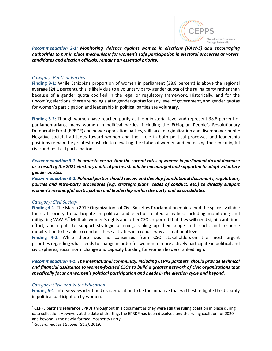

*Recommendation 2-1: Monitoring violence against women in elections (VAW-E) and encouraging authorities to put in place mechanisms for women's safe participation in electoral processes as voters, candidates and election officials, remains an essential priority.*

#### *Category: Political Parties*

**Finding 3-1:** While Ethiopia's proportion of women in parliament (38.8 percent) is above the regional average (24.1 percent), this is likely due to a voluntary party gender quota of the ruling party rather than because of a gender quota codified in the legal or regulatory framework. Historically, and for the upcoming elections, there are no legislated gender quotas for any level of government, and gender quotas for women's participation and leadership in political parties are voluntary.

**Finding 3-2:** Though women have reached parity at the ministerial level and represent 38.8 percent of parliamentarians, many women in political parties, including the Ethiopian People's Revolutionary Democratic Front (EPRDF) and newer opposition parties, still face marginalization and disempowerment.<sup>[1](#page-4-0)</sup> Negative societal attitudes toward women and their role in both political processes and leadership positions remain the greatest obstacle to elevating the status of women and increasing their meaningful civic and political participation.

# *Recommendation 3-1: In order to ensure that the current rates of women in parliament do not decrease as a result of the 2021 election, political parties should be encouraged and supported to adopt voluntary gender quotas.*

*Recommendation 3-2: Political parties should review and develop foundational documents, regulations, policies and intra-party procedures (e.g. strategic plans, codes of conduct, etc.) to directly support women's meaningful participation and leadership within the party and as candidates.*

#### *Category: Civil Society*

**Finding 4-1:** The March 2019 Organizations of Civil Societies Proclamation maintained the space available for civil society to participate in political and election-related activities, including monitoring and mitigating VAW-E.<sup>[2](#page-4-1)</sup> Multiple women's rights and other CSOs reported that they will need significant time, effort, and inputs to support strategic planning, scaling up their scope and reach, and resource mobilization to be able to conduct these activities in a robust way at a national level.

**Finding 4-2:** While there was no consensus from CSO stakeholders on the most urgent priorities regarding what needs to change in order for women to more actively participate in political and civic spheres, social norm change and capacity building for women leaders ranked high.

*Recommendation 4-1: The international community, including CEPPS partners, should provide technical and financial assistance to women-focused CSOs to build a greater network of civic organizations that specifically focus on women's political participation and needs in the election cycle and beyond.*

#### *Category: Civic and Voter Education*

**Finding 5-1:** Interviewees identified civic education to be the initiative that will best mitigate the disparity in political participation by women.

<span id="page-4-0"></span><sup>&</sup>lt;sup>1</sup> CEPPS partners reference EPRDF throughout this document as they were still the ruling coalition in place during data collection. However, at the date of drafting, the EPRDF has been dissolved and the ruling coalition for 2020 and beyond is the newly-formed Prosperity Party.

<span id="page-4-1"></span><sup>2</sup> *Government of Ethiopia (GOE)*, 2019.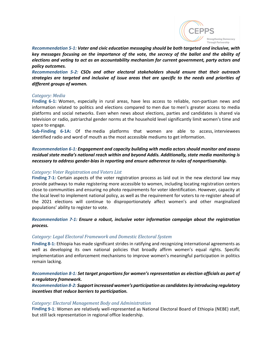

*Recommendation 5-1: Voter and civic education messaging should be both targeted and inclusive, with key messages focusing on the importance of the vote, the secrecy of the ballot and the ability of elections and voting to act as an accountability mechanism for current government, party actors and policy outcomes.*

*Recommendation 5-2: CSOs and other electoral stakeholders should ensure that their outreach strategies are targeted and inclusive of issue areas that are specific to the needs and priorities of different groups of women.*

#### *Category: Media*

**Finding 6-1:** Women, especially in rural areas, have less access to reliable, non-partisan news and information related to politics and elections compared to men due to men's greater access to media platforms and social networks. Even when news about elections, parties and candidates is shared via television or radio, patriarchal gender norms at the household level significantly limit women's time and space to engage.

**Sub-Finding 6-1A:** Of the media platforms that women are able to access, interviewees identified radio and word of mouth as the most accessible mediums to get information.

*Recommendation 6-1: Engagement and capacity building with media actors should monitor and assess residual state media's national reach within and beyond Addis. Additionally, state media monitoring is necessary to address gender-bias in reporting and ensure adherence to rules of nonpartisanship.*

# *Category: Voter Registration and Voters List*

**Finding 7-1:** Certain aspects of the voter registration process as laid out in the new electoral law may provide pathways to make registering more accessible to women, including locating registration centers close to communities and ensuring no photo requirements for voter identification. However, capacity at the local level to implement national policy, as well as the requirement for voters to re-register ahead of the 2021 elections will continue to disproportionately affect women's and other marginalized populations' ability to register to vote.

# *Recommendation 7-1: Ensure a robust, inclusive voter information campaign about the registration process.*

# *Category: Legal Electoral Framework and Domestic Electoral System*

**Finding 8-1:** Ethiopia has made significant strides in ratifying and recognizing international agreements as well as developing its own national policies that broadly affirm women's equal rights. Specific implementation and enforcement mechanisms to improve women's meaningful participation in politics remain lacking.

# *Recommendation 8-1: Set target proportions for women's representation as election officials as part of a regulatory framework.*

*Recommendation 8-2: Support increased women's participation as candidates by introducing regulatory incentives that reduce barriers to participation.*

#### *Category: Electoral Management Body and Administration*

**Finding 9-1**: Women are relatively well-represented as National Electoral Board of Ethiopia (NEBE) staff, but still lack representation in regional office leadership.